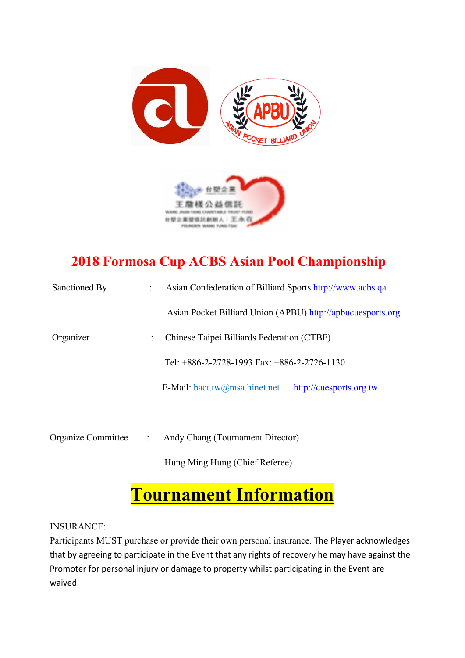



# **2018 Formosa Cup ACBS Asian Pool Championship**

| Sanctioned By      |  | Asian Confederation of Billiard Sports http://www.acbs.qa                                     |                         |  |
|--------------------|--|-----------------------------------------------------------------------------------------------|-------------------------|--|
|                    |  | Asian Pocket Billiard Union (APBU) http://apbucuesports.org                                   |                         |  |
| Organizer          |  | Chinese Taipei Billiards Federation (CTBF)<br>Tel: $+886-2-2728-1993$ Fax: $+886-2-2726-1130$ |                         |  |
|                    |  |                                                                                               |                         |  |
|                    |  | E-Mail: bact.tw@msa.hinet.net                                                                 | http://cuesports.org.tw |  |
|                    |  |                                                                                               |                         |  |
| Organize Committee |  | Andy Chang (Tournament Director)                                                              |                         |  |

Hung Ming Hung (Chief Referee)

# **Tournament Information**

INSURANCE:

Participants MUST purchase or provide their own personal insurance. The Player acknowledges that by agreeing to participate in the Event that any rights of recovery he may have against the Promoter for personal injury or damage to property whilst participating in the Event are waived.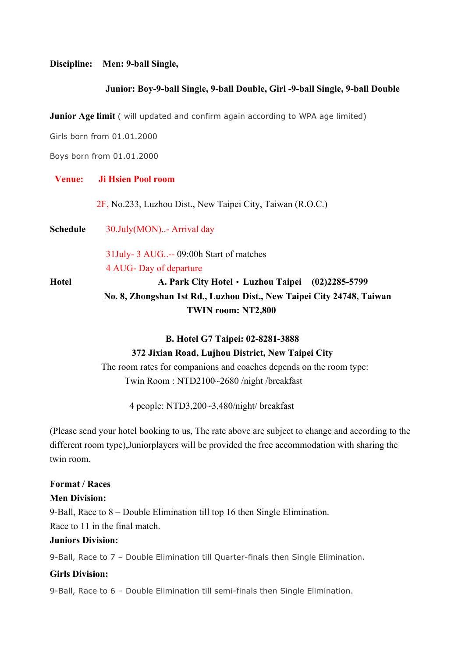#### **Discipline: Men: 9-ball Single,**

#### **Junior: Boy-9-ball Single, 9-ball Double, Girl -9-ball Single, 9-ball Double**

**Junior Age limit** ( will updated and confirm again according to WPA age limited)

Girls born from 01.01.2000

Boys born from 01.01.2000

#### **Venue: Ji Hsien Pool room**

2F, No.233, Luzhou Dist., New Taipei City, Taiwan (R.O.C.)

**Schedule** 30.July(MON)..- Arrival day

 31July- 3 AUG..-- 09:00h Start of matches 4 AUG- Day of departure

**Hotel A. Park City Hotel**‧**Luzhou Taipei (02)2285-5799 No. 8, Zhongshan 1st Rd., Luzhou Dist., New Taipei City 24748, Taiwan TWIN room: NT2,800**

#### **B. Hotel G7 Taipei: 02-8281-3888**

#### **372 Jixian Road, Lujhou District, New Taipei City**

The room rates for companions and coaches depends on the room type: Twin Room : NTD2100~2680 /night /breakfast

4 people: NTD3,200~3,480/night/ breakfast

(Please send your hotel booking to us, The rate above are subject to change and according to the different room type),Juniorplayers will be provided the free accommodation with sharing the twin room.

#### **Format / Races**

#### **Men Division:**

9-Ball, Race to 8 – Double Elimination till top 16 then Single Elimination.

Race to 11 in the final match.

#### **Juniors Division:**

9-Ball, Race to 7 – Double Elimination till Quarter-finals then Single Elimination.

#### **Girls Division:**

9-Ball, Race to 6 – Double Elimination till semi-finals then Single Elimination.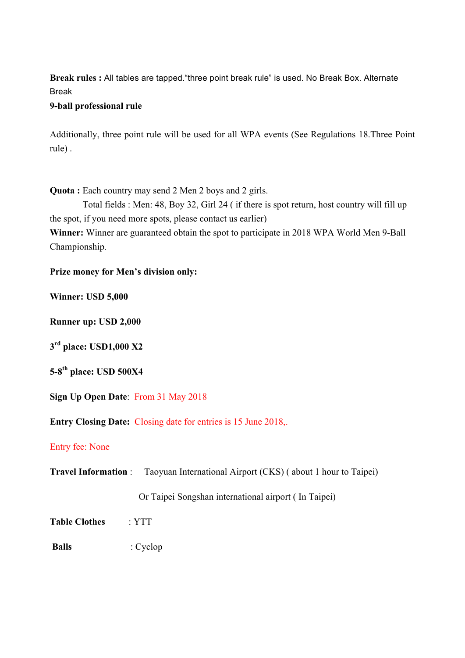**Break rules :** All tables are tapped."three point break rule" is used. No Break Box. Alternate Break

### **9-ball professional rule**

Additionally, three point rule will be used for all WPA events (See Regulations 18.Three Point rule) .

**Quota :** Each country may send 2 Men 2 boys and 2 girls.

Total fields : Men: 48, Boy 32, Girl 24 ( if there is spot return, host country will fill up the spot, if you need more spots, please contact us earlier)

**Winner:** Winner are guaranteed obtain the spot to participate in 2018 WPA World Men 9-Ball Championship.

## **Prize money for Men's division only:**

**Winner: USD 5,000**

**Runner up: USD 2,000**

**3rd place: USD1,000 X2**

**5-8th place: USD 500X4**

**Sign Up Open Date**: From 31 May 2018

**Entry Closing Date:** Closing date for entries is 15 June 2018,.

### Entry fee: None

**Travel Information** : Taoyuan International Airport (CKS) ( about 1 hour to Taipei)

Or Taipei Songshan international airport ( In Taipei)

**Table Clothes** : YTT

**Balls** : Cyclop